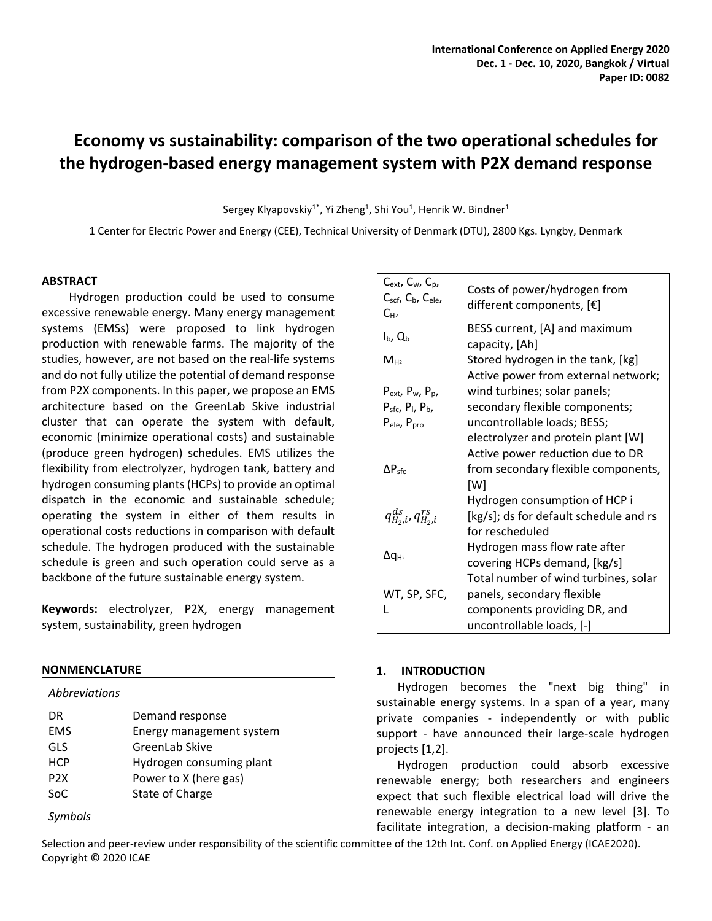# **Economy vs sustainability: comparison of the two operational schedules for the hydrogen-based energy management system with P2X demand response**

Sergey Klyapovskiy<sup>1\*</sup>, Yi Zheng<sup>1</sup>, Shi You<sup>1</sup>, Henrik W. Bindner<sup>1</sup>

1 Center for Electric Power and Energy (CEE), Technical University of Denmark (DTU), 2800 Kgs. Lyngby, Denmark

# **ABSTRACT**

Hydrogen production could be used to consume excessive renewable energy. Many energy management systems (EMSs) were proposed to link hydrogen production with renewable farms. The majority of the studies, however, are not based on the real-life systems and do not fully utilize the potential of demand response from P2X components. In this paper, we propose an EMS architecture based on the GreenLab Skive industrial cluster that can operate the system with default, economic (minimize operational costs) and sustainable (produce green hydrogen) schedules. EMS utilizes the flexibility from electrolyzer, hydrogen tank, battery and hydrogen consuming plants(HCPs) to provide an optimal dispatch in the economic and sustainable schedule; operating the system in either of them results in operational costs reductions in comparison with default schedule. The hydrogen produced with the sustainable schedule is green and such operation could serve as a backbone of the future sustainable energy system.

**Keywords:** electrolyzer, P2X, energy management system, sustainability, green hydrogen

# **NONMENCLATURE**

| <i>Abbreviations</i> |                          |
|----------------------|--------------------------|
| DR                   | Demand response          |
| <b>EMS</b>           | Energy management system |
| GLS                  | GreenLab Skive           |
| <b>HCP</b>           | Hydrogen consuming plant |
| P <sub>2</sub> X     | Power to X (here gas)    |
| SoC.                 | State of Charge          |
| Symbols              |                          |

| $C_{ext}$ , $C_{w}$ , $C_{p}$ ,<br>Cscf, C <sub>b</sub> , C <sub>ele</sub> ,<br>$C_{H2}$ | Costs of power/hydrogen from<br>different components, $[\mathbf{\epsilon}]$ |
|------------------------------------------------------------------------------------------|-----------------------------------------------------------------------------|
| $I_{b}$ , $Q_{b}$                                                                        | BESS current, [A] and maximum<br>capacity, [Ah]                             |
| $M_{H2}$                                                                                 | Stored hydrogen in the tank, [kg]<br>Active power from external network;    |
| $P_{ext}$ , $P_w$ , $P_p$ ,                                                              | wind turbines; solar panels;                                                |
| $P_{\text{sfc}}$ , $P_{\text{I}}$ , $P_{\text{b}}$ ,                                     | secondary flexible components;                                              |
| P <sub>ele</sub> , P <sub>pro</sub>                                                      | uncontrollable loads; BESS;                                                 |
|                                                                                          | electrolyzer and protein plant [W]                                          |
|                                                                                          | Active power reduction due to DR                                            |
| $\Delta P_{\text{sfc}}$                                                                  | from secondary flexible components,<br>[W]                                  |
|                                                                                          | Hydrogen consumption of HCP i                                               |
| $q_{H_2,i}^{ds}$ , $q_{H_2,i}^{rs}$                                                      | [kg/s]; ds for default schedule and rs<br>for rescheduled                   |
|                                                                                          | Hydrogen mass flow rate after                                               |
| $\Delta q_{H2}$                                                                          | covering HCPs demand, [kg/s]                                                |
|                                                                                          | Total number of wind turbines, solar                                        |
| WT, SP, SFC,                                                                             | panels, secondary flexible                                                  |
|                                                                                          | components providing DR, and                                                |
|                                                                                          | uncontrollable loads, [-]                                                   |

# **1. INTRODUCTION**

Hydrogen becomes the "next big thing" in sustainable energy systems. In a span of a year, many private companies - independently or with public support - have announced their large-scale hydrogen projects [1,2].

Hydrogen production could absorb excessive renewable energy; both researchers and engineers expect that such flexible electrical load will drive the renewable energy integration to a new level [3]. To facilitate integration, a decision-making platform - an

Selection and peer-review under responsibility of the scientific committee of the 12th Int. Conf. on Applied Energy (ICAE2020). Copyright © 2020 ICAE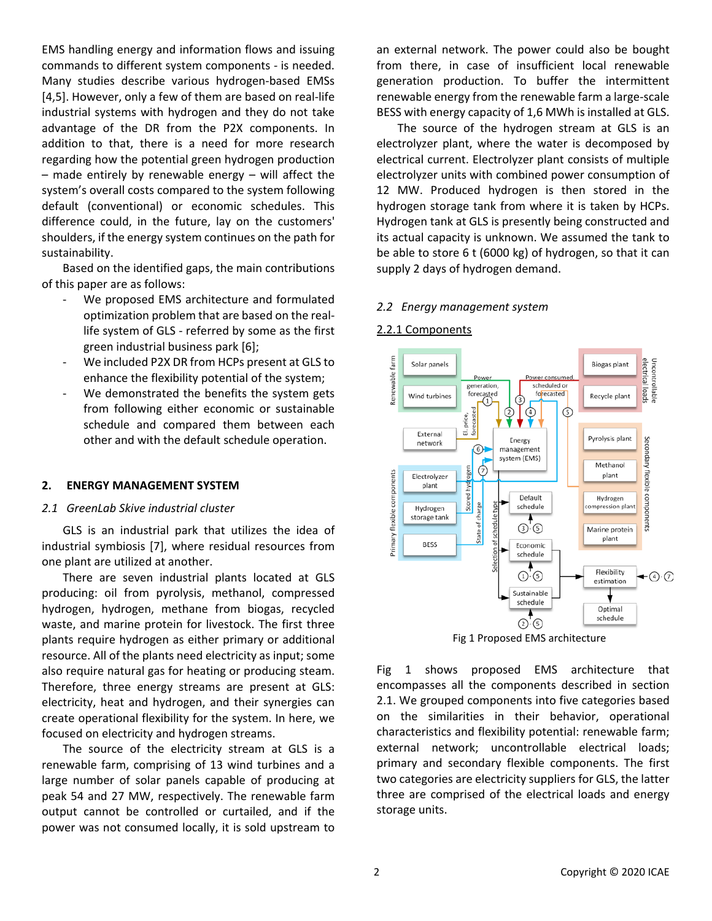EMS handling energy and information flows and issuing commands to different system components - is needed. Many studies describe various hydrogen-based EMSs [4,5]. However, only a few of them are based on real-life industrial systems with hydrogen and they do not take advantage of the DR from the P2X components. In addition to that, there is a need for more research regarding how the potential green hydrogen production – made entirely by renewable energy – will affect the system's overall costs compared to the system following default (conventional) or economic schedules. This difference could, in the future, lay on the customers' shoulders, if the energy system continues on the path for sustainability.

Based on the identified gaps, the main contributions of this paper are as follows:

- We proposed EMS architecture and formulated optimization problem that are based on the reallife system of GLS - referred by some as the first green industrial business park [6];
- We included P2X DR from HCPs present at GLS to enhance the flexibility potential of the system;
- We demonstrated the benefits the system gets from following either economic or sustainable schedule and compared them between each other and with the default schedule operation.

# **2. ENERGY MANAGEMENT SYSTEM**

### *2.1 GreenLab Skive industrial cluster*

GLS is an industrial park that utilizes the idea of industrial symbiosis [7], where residual resources from one plant are utilized at another.

There are seven industrial plants located at GLS producing: oil from pyrolysis, methanol, compressed hydrogen, hydrogen, methane from biogas, recycled waste, and marine protein for livestock. The first three plants require hydrogen as either primary or additional resource. All of the plants need electricity as input; some also require natural gas for heating or producing steam. Therefore, three energy streams are present at GLS: electricity, heat and hydrogen, and their synergies can create operational flexibility for the system. In here, we focused on electricity and hydrogen streams.

The source of the electricity stream at GLS is a renewable farm, comprising of 13 wind turbines and a large number of solar panels capable of producing at peak 54 and 27 MW, respectively. The renewable farm output cannot be controlled or curtailed, and if the power was not consumed locally, it is sold upstream to

an external network. The power could also be bought from there, in case of insufficient local renewable generation production. To buffer the intermittent renewable energy from the renewable farm a large-scale BESS with energy capacity of 1,6 MWh is installed at GLS.

The source of the hydrogen stream at GLS is an electrolyzer plant, where the water is decomposed by electrical current. Electrolyzer plant consists of multiple electrolyzer units with combined power consumption of 12 MW. Produced hydrogen is then stored in the hydrogen storage tank from where it is taken by HCPs. Hydrogen tank at GLS is presently being constructed and its actual capacity is unknown. We assumed the tank to be able to store 6 t (6000 kg) of hydrogen, so that it can supply 2 days of hydrogen demand.

#### *2.2 Energy management system*

### 2.2.1 Components



Fig 1 Proposed EMS architecture

Fig 1 shows proposed EMS architecture that encompasses all the components described in section 2.1. We grouped components into five categories based on the similarities in their behavior, operational characteristics and flexibility potential: renewable farm; external network; uncontrollable electrical loads; primary and secondary flexible components. The first two categories are electricity suppliers for GLS, the latter three are comprised of the electrical loads and energy storage units.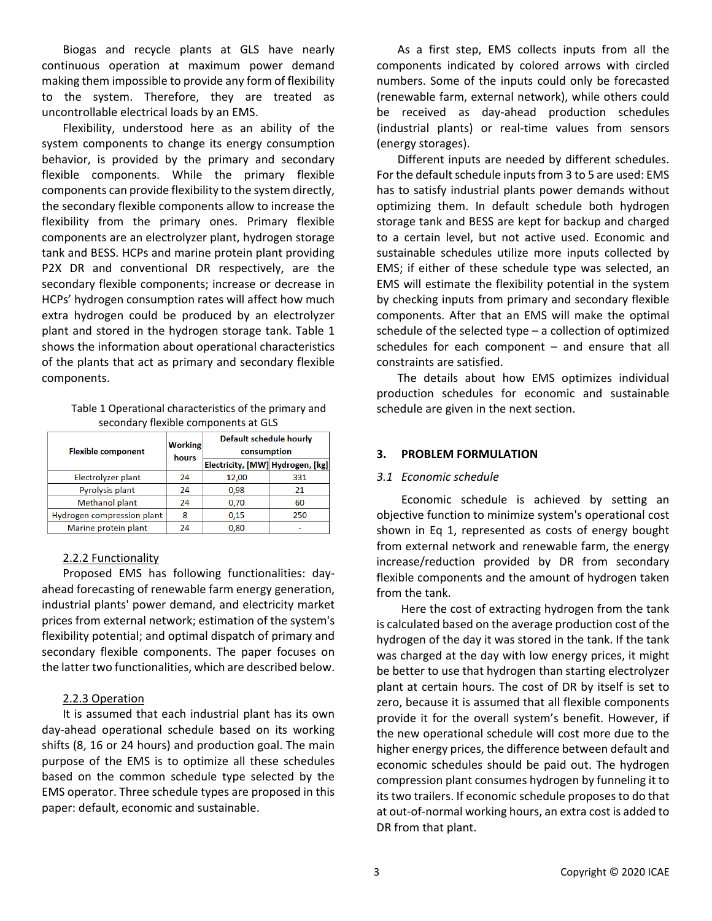Biogas and recycle plants at GLS have nearly continuous operation at maximum power demand making them impossible to provide any form of flexibility to the system. Therefore, they are treated as uncontrollable electrical loads by an EMS.

Flexibility, understood here as an ability of the system components to change its energy consumption behavior, is provided by the primary and secondary flexible components. While the primary flexible components can provide flexibility to the system directly, the secondary flexible components allow to increase the flexibility from the primary ones. Primary flexible components are an electrolyzer plant, hydrogen storage tank and BESS. HCPs and marine protein plant providing P2X DR and conventional DR respectively, are the secondary flexible components; increase or decrease in HCPs' hydrogen consumption rates will affect how much extra hydrogen could be produced by an electrolyzer plant and stored in the hydrogen storage tank. Table 1 shows the information about operational characteristics of the plants that act as primary and secondary flexible components.

> Table 1 Operational characteristics of the primary and secondary flexible components at GLS

| <b>Flexible component</b>  | <b>Working</b><br>hours | Default schedule hourly<br>consumption |     |  |  |  |
|----------------------------|-------------------------|----------------------------------------|-----|--|--|--|
|                            |                         | Electricity, [MW] Hydrogen, [kg]       |     |  |  |  |
| Electrolyzer plant         | 24                      | 12,00                                  | 331 |  |  |  |
| Pyrolysis plant            | 24                      | 0,98                                   | 21  |  |  |  |
| <b>Methanol plant</b>      | 24                      | 0,70                                   | 60  |  |  |  |
| Hydrogen compression plant | 8                       | 0.15                                   | 250 |  |  |  |
| Marine protein plant       | 24                      | 0.80                                   |     |  |  |  |

# 2.2.2 Functionality

Proposed EMS has following functionalities: dayahead forecasting of renewable farm energy generation, industrial plants' power demand, and electricity market prices from external network; estimation of the system's flexibility potential; and optimal dispatch of primary and secondary flexible components. The paper focuses on the latter two functionalities, which are described below.

# 2.2.3 Operation

It is assumed that each industrial plant has its own day-ahead operational schedule based on its working shifts (8, 16 or 24 hours) and production goal. The main purpose of the EMS is to optimize all these schedules based on the common schedule type selected by the EMS operator. Three schedule types are proposed in this paper: default, economic and sustainable.

As a first step, EMS collects inputs from all the components indicated by colored arrows with circled numbers. Some of the inputs could only be forecasted (renewable farm, external network), while others could be received as day-ahead production schedules (industrial plants) or real-time values from sensors (energy storages).

Different inputs are needed by different schedules. For the default schedule inputs from 3 to 5 are used: EMS has to satisfy industrial plants power demands without optimizing them. In default schedule both hydrogen storage tank and BESS are kept for backup and charged to a certain level, but not active used. Economic and sustainable schedules utilize more inputs collected by EMS; if either of these schedule type was selected, an EMS will estimate the flexibility potential in the system by checking inputs from primary and secondary flexible components. After that an EMS will make the optimal schedule of the selected type – a collection of optimized schedules for each component – and ensure that all constraints are satisfied.

The details about how EMS optimizes individual production schedules for economic and sustainable schedule are given in the next section.

# **3. PROBLEM FORMULATION**

# *3.1 Economic schedule*

Economic schedule is achieved by setting an objective function to minimize system's operational cost shown in Eq 1, represented as costs of energy bought from external network and renewable farm, the energy increase/reduction provided by DR from secondary flexible components and the amount of hydrogen taken from the tank.

Here the cost of extracting hydrogen from the tank is calculated based on the average production cost of the hydrogen of the day it was stored in the tank. If the tank was charged at the day with low energy prices, it might be better to use that hydrogen than starting electrolyzer plant at certain hours. The cost of DR by itself is set to zero, because it is assumed that all flexible components provide it for the overall system's benefit. However, if the new operational schedule will cost more due to the higher energy prices, the difference between default and economic schedules should be paid out. The hydrogen compression plant consumes hydrogen by funneling it to its two trailers. If economic schedule proposes to do that at out-of-normal working hours, an extra cost is added to DR from that plant.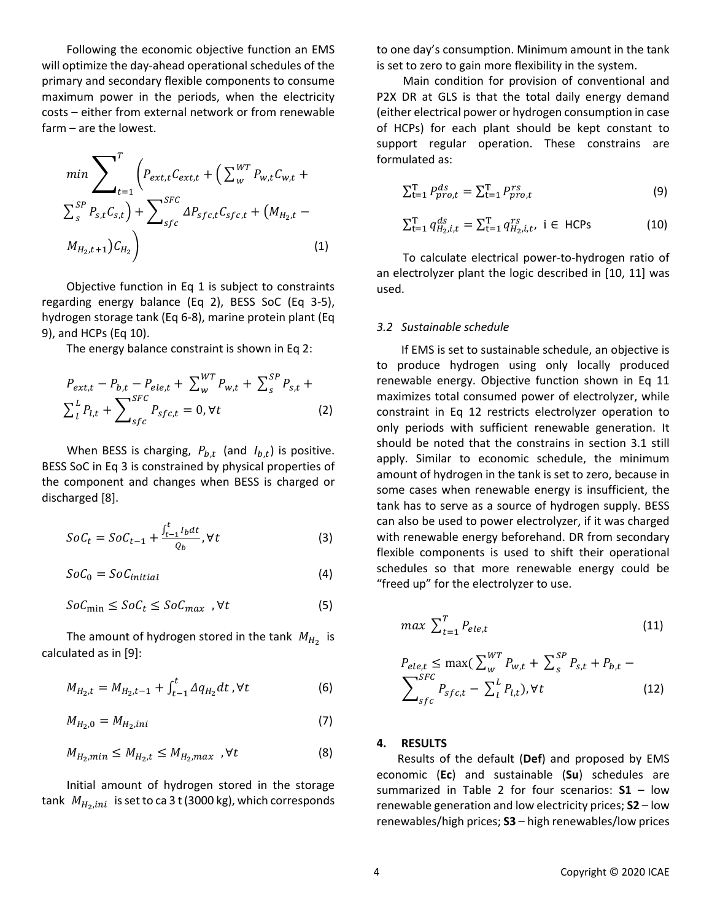Following the economic objective function an EMS will optimize the day-ahead operational schedules of the primary and secondary flexible components to consume maximum power in the periods, when the electricity costs – either from external network or from renewable farm – are the lowest.

$$
\min \sum_{t=1}^{T} \left( P_{ext,t} C_{ext,t} + \left( \sum_{w}^{WT} P_{w,t} C_{w,t} + \sum_{s}^{SP} P_{s,t} C_{s,t} \right) + \sum_{sfc}^{SFC} \Delta P_{sfc,t} C_{sfc,t} + \left( M_{H_2,t} - M_{H_2,t+1} \right) C_{H_2} \right)
$$
\n(1)

Objective function in Eq 1 is subject to constraints regarding energy balance (Eq 2), BESS SoC (Eq 3-5), hydrogen storage tank (Eq 6-8), marine protein plant (Eq 9), and HCPs (Eq 10).

The energy balance constraint is shown in Eq 2:

$$
P_{ext,t} - P_{b,t} - P_{ele,t} + \sum_{w}^{WT} P_{w,t} + \sum_{s}^{SP} P_{s,t} + \sum_{t}^{L} P_{t,t} + \sum_{s}^{SFC} P_{s,t} = 0, \forall t
$$
 (2)

When BESS is charging,  $P_{b,t}$  (and  $I_{b,t}$ ) is positive. BESS SoC in Eq 3 is constrained by physical properties of the component and changes when BESS is charged or discharged [8].

$$
SoC_t = SoC_{t-1} + \frac{\int_{t-1}^t I_b dt}{Q_b}, \forall t
$$
\n(3)

$$
SoC_0 = SoC_{initial} \tag{4}
$$

$$
SoC_{\min} \leq SoC_t \leq SoC_{\max}, \forall t
$$
 (5)

The amount of hydrogen stored in the tank  $M_{H_2}$  is calculated as in [9]:

$$
M_{H_2,t} = M_{H_2,t-1} + \int_{t-1}^t \Delta q_{H_2} dt, \forall t
$$
 (6)

$$
M_{H_2,0} = M_{H_2,ini} \tag{7}
$$

$$
M_{H_2,min} \le M_{H_2,t} \le M_{H_2,max} , \forall t \tag{8}
$$

Initial amount of hydrogen stored in the storage tank  $M_{H_2, ini}$  is set to ca 3 t (3000 kg), which corresponds to one day's consumption. Minimum amount in the tank is set to zero to gain more flexibility in the system.

Main condition for provision of conventional and P2X DR at GLS is that the total daily energy demand (either electrical power or hydrogen consumption in case of HCPs) for each plant should be kept constant to support regular operation. These constrains are formulated as:

$$
\sum_{t=1}^{T} P_{pro,t}^{ds} = \sum_{t=1}^{T} P_{pro,t}^{rs}
$$
 (9)

$$
\sum_{t=1}^{T} q_{H_2,i,t}^{ds} = \sum_{t=1}^{T} q_{H_2,i,t}^{rs}, \quad i \in \text{HCPs}
$$
 (10)

To calculate electrical power-to-hydrogen ratio of an electrolyzer plant the logic described in [10, 11] was used.

#### *3.2 Sustainable schedule*

If EMS is set to sustainable schedule, an objective is to produce hydrogen using only locally produced renewable energy. Objective function shown in Eq 11 maximizes total consumed power of electrolyzer, while constraint in Eq 12 restricts electrolyzer operation to only periods with sufficient renewable generation. It should be noted that the constrains in section 3.1 still apply. Similar to economic schedule, the minimum amount of hydrogen in the tank is set to zero, because in some cases when renewable energy is insufficient, the tank has to serve as a source of hydrogen supply. BESS can also be used to power electrolyzer, if it was charged with renewable energy beforehand. DR from secondary flexible components is used to shift their operational schedules so that more renewable energy could be "freed up" for the electrolyzer to use.

$$
max \sum_{t=1}^{T} P_{ele,t}
$$
 (11)

$$
P_{ele,t} \le \max(\sum_{w}^{WT} P_{w,t} + \sum_{s}^{SP} P_{s,t} + P_{b,t} - \sum_{s \in C}^{SFC} P_{sfc,t} - \sum_{l}^{L} P_{l,t}), \forall t
$$
\n(12)

#### **4. RESULTS**

Results of the default (**Def**) and proposed by EMS economic (**Ec**) and sustainable (**Su**) schedules are summarized in Table 2 for four scenarios: **S1** – low renewable generation and low electricity prices; **S2** – low renewables/high prices; **S3** – high renewables/low prices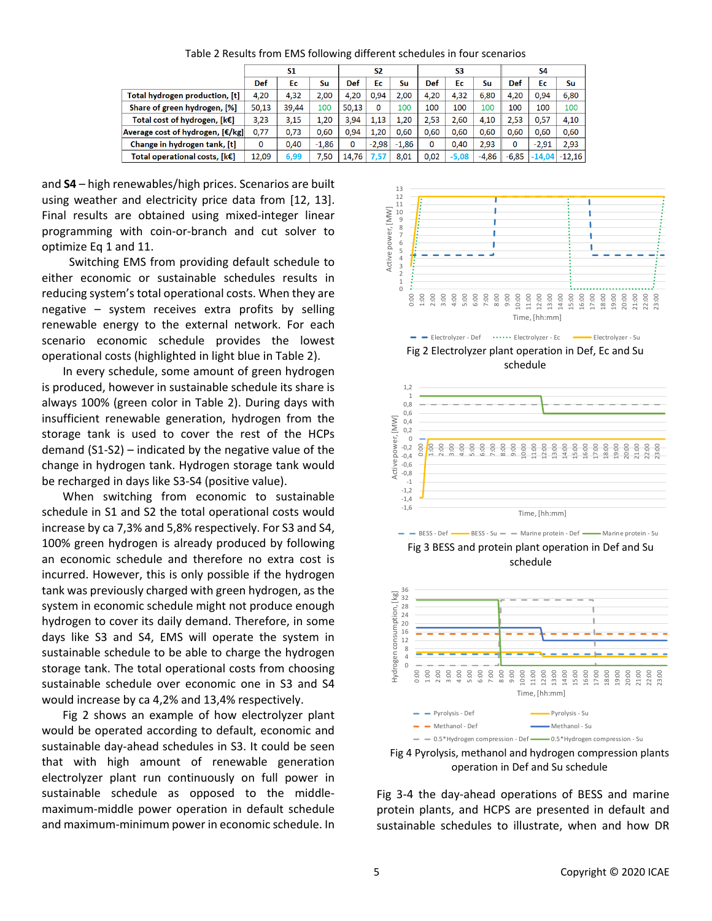Table 2 Results from EMS following different schedules in four scenarios

|                                  | S1    |       |         | S <sub>2</sub> |         |         | S3   |         |       | S4      |          |          |
|----------------------------------|-------|-------|---------|----------------|---------|---------|------|---------|-------|---------|----------|----------|
|                                  | Def   | Ec    | Su      | Def            | Ec      | Su      | Def  | Ec      | Su    | Def     | Ec       | Su       |
| Total hydrogen production, [t]   | 4,20  | 4,32  | 2,00    | 4.20           | 0.94    | 2.00    | 4,20 | 4.32    | 6.80  | 4.20    | 0.94     | 6,80     |
| Share of green hydrogen, [%]     | 50,13 | 39.44 | 100     | 50,13          | 0       | 100     | 100  | 100     | 100   | 100     | 100      | 100      |
| Total cost of hydrogen, [k€]     | 3,23  | 3.15  | 1.20    | 3.94           | 1.13    | 1.20    | 2.53 | 2.60    | 4.10  | 2.53    | 0.57     | 4,10     |
| Average cost of hydrogen, [€/kg] | 0.77  | 0.73  | 0.60    | 0.94           | 1.20    | 0.60    | 0.60 | 0.60    | 0.60  | 0.60    | 0.60     | 0.60     |
| Change in hydrogen tank, [t]     | 0     | 0.40  | $-1.86$ | 0              | $-2.98$ | $-1.86$ | 0    | 0.40    | 2.93  | 0       | $-2.91$  | 2.93     |
| Total operational costs, [k€]    | 12.09 | 6,99  | 7.50    | 14,76          | 7,57    | 8.01    | 0.02 | $-5,08$ | -4,86 | $-6,85$ | $-14,04$ | $-12.16$ |

and **S4** – high renewables/high prices. Scenarios are built using weather and electricity price data from [12, 13]. Final results are obtained using mixed-integer linear programming with coin-or-branch and cut solver to optimize Eq 1 and 11.

Switching EMS from providing default schedule to either economic or sustainable schedules results in reducing system's total operational costs. When they are negative – system receives extra profits by selling renewable energy to the external network. For each scenario economic schedule provides the lowest operational costs (highlighted in light blue in Table 2).

In every schedule, some amount of green hydrogen is produced, however in sustainable schedule its share is always 100% (green color in Table 2). During days with insufficient renewable generation, hydrogen from the storage tank is used to cover the rest of the HCPs demand (S1-S2) – indicated by the negative value of the change in hydrogen tank. Hydrogen storage tank would be recharged in days like S3-S4 (positive value).

When switching from economic to sustainable schedule in S1 and S2 the total operational costs would increase by ca 7,3% and 5,8% respectively. For S3 and S4, 100% green hydrogen is already produced by following an economic schedule and therefore no extra cost is incurred. However, this is only possible if the hydrogen tank was previously charged with green hydrogen, as the system in economic schedule might not produce enough hydrogen to cover its daily demand. Therefore, in some days like S3 and S4, EMS will operate the system in sustainable schedule to be able to charge the hydrogen storage tank. The total operational costs from choosing sustainable schedule over economic one in S3 and S4 would increase by ca 4,2% and 13,4% respectively.

Fig 2 shows an example of how electrolyzer plant would be operated according to default, economic and sustainable day-ahead schedules in S3. It could be seen that with high amount of renewable generation electrolyzer plant run continuously on full power in sustainable schedule as opposed to the middlemaximum-middle power operation in default schedule and maximum-minimum power in economic schedule. In



Fig 2 Electrolyzer plant operation in Def, Ec and Su schedule



Fig 3 BESS and protein plant operation in Def and Su schedule



Fig 4 Pyrolysis, methanol and hydrogen compression plants operation in Def and Su schedule

Fig 3-4 the day-ahead operations of BESS and marine protein plants, and HCPS are presented in default and sustainable schedules to illustrate, when and how DR